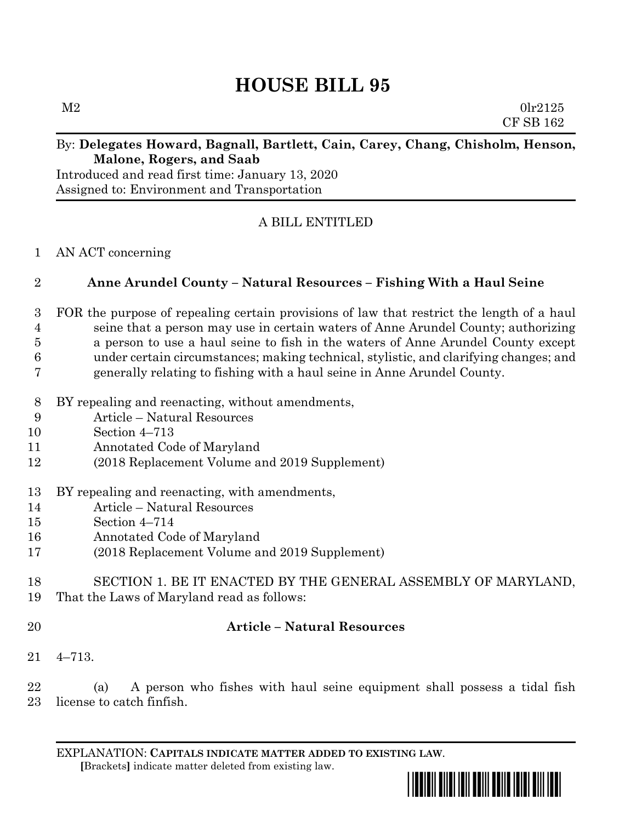# **HOUSE BILL 95**

 $M2$  0lr2125 CF SB 162

### By: **Delegates Howard, Bagnall, Bartlett, Cain, Carey, Chang, Chisholm, Henson, Malone, Rogers, and Saab**

Introduced and read first time: January 13, 2020 Assigned to: Environment and Transportation

# A BILL ENTITLED

### AN ACT concerning

## **Anne Arundel County – Natural Resources – Fishing With a Haul Seine**

# FOR the purpose of repealing certain provisions of law that restrict the length of a haul seine that a person may use in certain waters of Anne Arundel County; authorizing a person to use a haul seine to fish in the waters of Anne Arundel County except

- under certain circumstances; making technical, stylistic, and clarifying changes; and generally relating to fishing with a haul seine in Anne Arundel County.
- BY repealing and reenacting, without amendments,
- Article Natural Resources
- Section 4–713
- Annotated Code of Maryland
- (2018 Replacement Volume and 2019 Supplement)
- BY repealing and reenacting, with amendments,
- Article Natural Resources
- Section 4–714
- Annotated Code of Maryland
- (2018 Replacement Volume and 2019 Supplement)
- SECTION 1. BE IT ENACTED BY THE GENERAL ASSEMBLY OF MARYLAND, That the Laws of Maryland read as follows:
- 

# **Article – Natural Resources**

4–713.

 (a) A person who fishes with haul seine equipment shall possess a tidal fish license to catch finfish.

EXPLANATION: **CAPITALS INDICATE MATTER ADDED TO EXISTING LAW**.  **[**Brackets**]** indicate matter deleted from existing law.

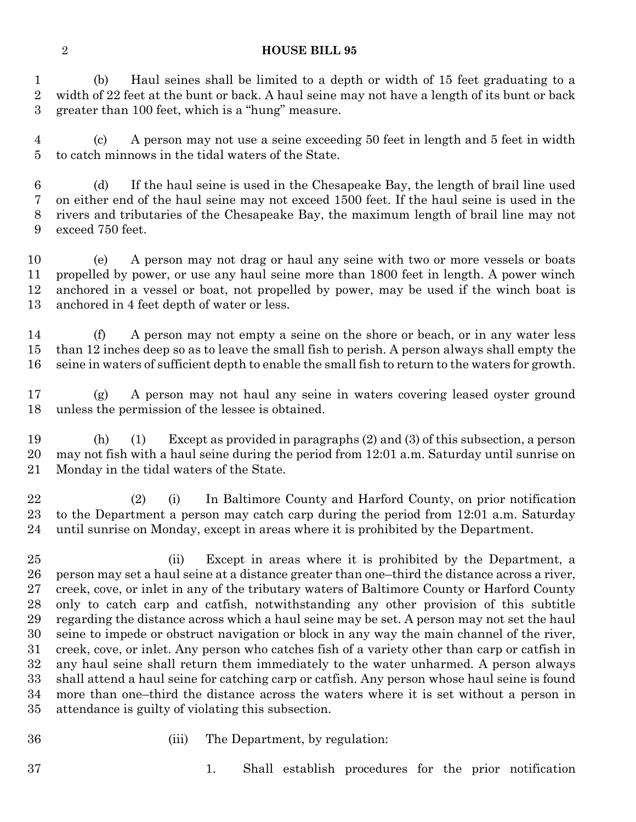#### **HOUSE BILL 95**

 (b) Haul seines shall be limited to a depth or width of 15 feet graduating to a width of 22 feet at the bunt or back. A haul seine may not have a length of its bunt or back greater than 100 feet, which is a "hung" measure.

 (c) A person may not use a seine exceeding 50 feet in length and 5 feet in width to catch minnows in the tidal waters of the State.

 (d) If the haul seine is used in the Chesapeake Bay, the length of brail line used on either end of the haul seine may not exceed 1500 feet. If the haul seine is used in the rivers and tributaries of the Chesapeake Bay, the maximum length of brail line may not exceed 750 feet.

 (e) A person may not drag or haul any seine with two or more vessels or boats propelled by power, or use any haul seine more than 1800 feet in length. A power winch anchored in a vessel or boat, not propelled by power, may be used if the winch boat is anchored in 4 feet depth of water or less.

 (f) A person may not empty a seine on the shore or beach, or in any water less than 12 inches deep so as to leave the small fish to perish. A person always shall empty the seine in waters of sufficient depth to enable the small fish to return to the waters for growth.

 (g) A person may not haul any seine in waters covering leased oyster ground unless the permission of the lessee is obtained.

 (h) (1) Except as provided in paragraphs (2) and (3) of this subsection, a person may not fish with a haul seine during the period from 12:01 a.m. Saturday until sunrise on Monday in the tidal waters of the State.

 (2) (i) In Baltimore County and Harford County, on prior notification to the Department a person may catch carp during the period from 12:01 a.m. Saturday until sunrise on Monday, except in areas where it is prohibited by the Department.

 (ii) Except in areas where it is prohibited by the Department, a person may set a haul seine at a distance greater than one–third the distance across a river, creek, cove, or inlet in any of the tributary waters of Baltimore County or Harford County only to catch carp and catfish, notwithstanding any other provision of this subtitle regarding the distance across which a haul seine may be set. A person may not set the haul seine to impede or obstruct navigation or block in any way the main channel of the river, creek, cove, or inlet. Any person who catches fish of a variety other than carp or catfish in any haul seine shall return them immediately to the water unharmed. A person always shall attend a haul seine for catching carp or catfish. Any person whose haul seine is found more than one–third the distance across the waters where it is set without a person in attendance is guilty of violating this subsection.

- 
- (iii) The Department, by regulation:

1. Shall establish procedures for the prior notification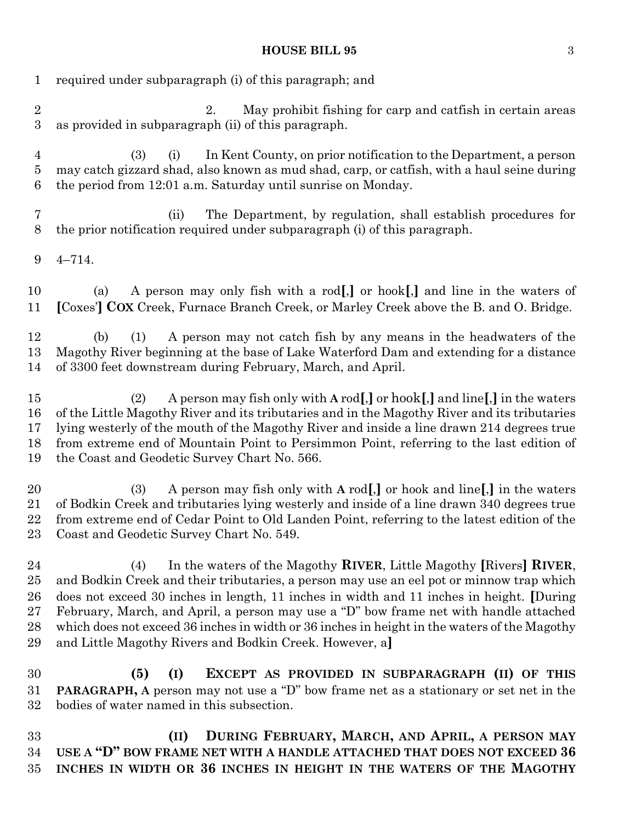#### **HOUSE BILL 95** 3

| $\mathbf{1}$                     | required under subparagraph (i) of this paragraph; and                                                                                                                                                                                                                                                                                                                                                                                                                                                                |
|----------------------------------|-----------------------------------------------------------------------------------------------------------------------------------------------------------------------------------------------------------------------------------------------------------------------------------------------------------------------------------------------------------------------------------------------------------------------------------------------------------------------------------------------------------------------|
| $\sqrt{2}$<br>$\boldsymbol{3}$   | May prohibit fishing for carp and catfish in certain areas<br>2.<br>as provided in subparagraph (ii) of this paragraph.                                                                                                                                                                                                                                                                                                                                                                                               |
| $\overline{4}$<br>$\bf 5$<br>6   | In Kent County, on prior notification to the Department, a person<br>(3)<br>(i)<br>may catch gizzard shad, also known as mud shad, carp, or catfish, with a haul seine during<br>the period from 12:01 a.m. Saturday until sunrise on Monday.                                                                                                                                                                                                                                                                         |
| 7<br>8                           | The Department, by regulation, shall establish procedures for<br>(ii)<br>the prior notification required under subparagraph (i) of this paragraph.                                                                                                                                                                                                                                                                                                                                                                    |
| 9                                | $4 - 714.$                                                                                                                                                                                                                                                                                                                                                                                                                                                                                                            |
| 10<br>11                         | A person may only fish with a rod[,] or hook[,] and line in the waters of<br>(a)<br>[Coxes'] COX Creek, Furnace Branch Creek, or Marley Creek above the B. and O. Bridge.                                                                                                                                                                                                                                                                                                                                             |
| 12<br>13<br>14                   | A person may not catch fish by any means in the headwaters of the<br>(b)<br>(1)<br>Magothy River beginning at the base of Lake Waterford Dam and extending for a distance<br>of 3300 feet downstream during February, March, and April.                                                                                                                                                                                                                                                                               |
| 15<br>16<br>17<br>18<br>19       | A person may fish only with $A \text{ rod}$ , or hook[,] and line[,] in the waters<br>(2)<br>of the Little Magothy River and its tributaries and in the Magothy River and its tributaries<br>lying westerly of the mouth of the Magothy River and inside a line drawn 214 degrees true<br>from extreme end of Mountain Point to Persimmon Point, referring to the last edition of<br>the Coast and Geodetic Survey Chart No. 566.                                                                                     |
| 20<br>21<br>22<br>23             | A person may fish only with A rod[,] or hook and line[,] in the waters<br>(3)<br>of Bodkin Creek and tributaries lying westerly and inside of a line drawn 340 degrees true<br>from extreme end of Cedar Point to Old Landen Point, referring to the latest edition of the<br>Coast and Geodetic Survey Chart No. 549.                                                                                                                                                                                                |
| 24<br>25<br>26<br>27<br>28<br>29 | In the waters of the Magothy RIVER, Little Magothy [Rivers] RIVER,<br>(4)<br>and Bodkin Creek and their tributaries, a person may use an eel pot or minnow trap which<br>does not exceed 30 inches in length, 11 inches in width and 11 inches in height. [During]<br>February, March, and April, a person may use a "D" bow frame net with handle attached<br>which does not exceed 36 inches in width or 36 inches in height in the waters of the Magothy<br>and Little Magothy Rivers and Bodkin Creek. However, a |
| 30<br>31<br>32                   | EXCEPT AS PROVIDED IN SUBPARAGRAPH (II) OF THIS<br>(5)<br>(I)<br><b>PARAGRAPH, A person may not use a "D" bow frame net as a stationary or set net in the</b><br>bodies of water named in this subsection.                                                                                                                                                                                                                                                                                                            |
| 33                               | DURING FEBRUARY, MARCH, AND APRIL, A PERSON MAY<br>(II)                                                                                                                                                                                                                                                                                                                                                                                                                                                               |

 **USE A "D" BOW FRAME NET WITH A HANDLE ATTACHED THAT DOES NOT EXCEED 36 INCHES IN WIDTH OR 36 INCHES IN HEIGHT IN THE WATERS OF THE MAGOTHY**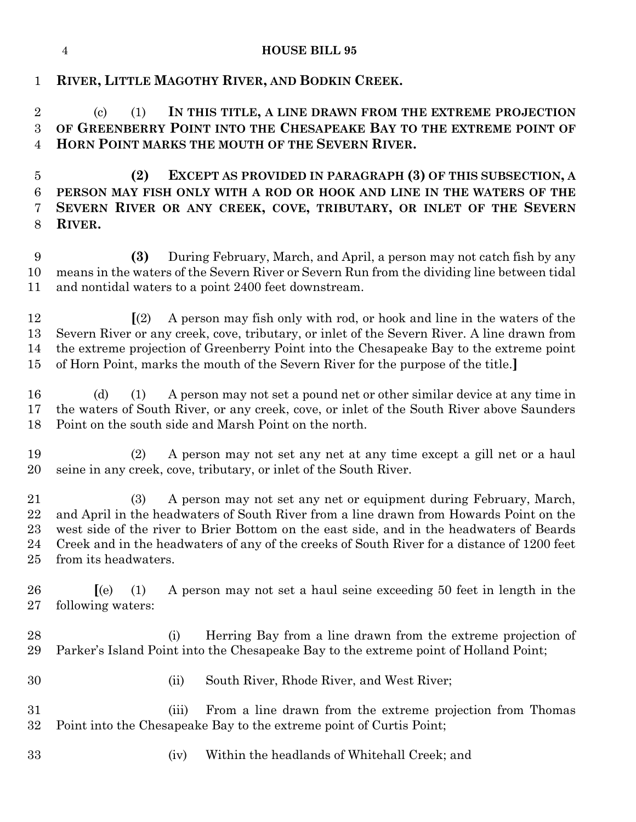### **RIVER, LITTLE MAGOTHY RIVER, AND BODKIN CREEK.**

 (c) (1) **IN THIS TITLE, A LINE DRAWN FROM THE EXTREME PROJECTION OF GREENBERRY POINT INTO THE CHESAPEAKE BAY TO THE EXTREME POINT OF HORN POINT MARKS THE MOUTH OF THE SEVERN RIVER.**

 **(2) EXCEPT AS PROVIDED IN PARAGRAPH (3) OF THIS SUBSECTION, A PERSON MAY FISH ONLY WITH A ROD OR HOOK AND LINE IN THE WATERS OF THE SEVERN RIVER OR ANY CREEK, COVE, TRIBUTARY, OR INLET OF THE SEVERN RIVER.**

 **(3)** During February, March, and April, a person may not catch fish by any means in the waters of the Severn River or Severn Run from the dividing line between tidal and nontidal waters to a point 2400 feet downstream.

 **[**(2) A person may fish only with rod, or hook and line in the waters of the Severn River or any creek, cove, tributary, or inlet of the Severn River. A line drawn from the extreme projection of Greenberry Point into the Chesapeake Bay to the extreme point of Horn Point, marks the mouth of the Severn River for the purpose of the title.**]**

 (d) (1) A person may not set a pound net or other similar device at any time in the waters of South River, or any creek, cove, or inlet of the South River above Saunders Point on the south side and Marsh Point on the north.

 (2) A person may not set any net at any time except a gill net or a haul seine in any creek, cove, tributary, or inlet of the South River.

 (3) A person may not set any net or equipment during February, March, and April in the headwaters of South River from a line drawn from Howards Point on the west side of the river to Brier Bottom on the east side, and in the headwaters of Beards Creek and in the headwaters of any of the creeks of South River for a distance of 1200 feet from its headwaters.

 **[**(e) (1) A person may not set a haul seine exceeding 50 feet in length in the following waters:

 (i) Herring Bay from a line drawn from the extreme projection of Parker's Island Point into the Chesapeake Bay to the extreme point of Holland Point;

- 
- (ii) South River, Rhode River, and West River;

 (iii) From a line drawn from the extreme projection from Thomas Point into the Chesapeake Bay to the extreme point of Curtis Point;

(iv) Within the headlands of Whitehall Creek; and